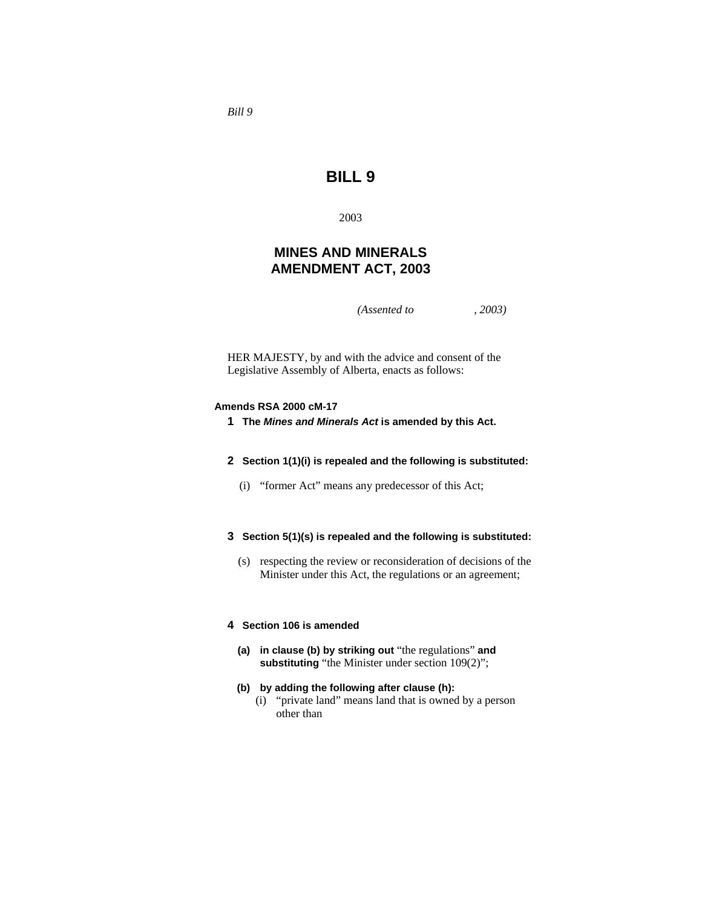# **BILL 9**

2003

# **MINES AND MINERALS AMENDMENT ACT, 2003**

*(Assented to , 2003)* 

HER MAJESTY, by and with the advice and consent of the Legislative Assembly of Alberta, enacts as follows:

### **Amends RSA 2000 cM-17**

**1 The** *Mines and Minerals Act* **is amended by this Act.** 

## **2 Section 1(1)(i) is repealed and the following is substituted:**

(i) "former Act" means any predecessor of this Act;

# **3 Section 5(1)(s) is repealed and the following is substituted:**

 (s) respecting the review or reconsideration of decisions of the Minister under this Act, the regulations or an agreement;

### **4 Section 106 is amended**

 **(a) in clause (b) by striking out** "the regulations" **and substituting** "the Minister under section 109(2)";

# **(b) by adding the following after clause (h):**

 (i) "private land" means land that is owned by a person other than

*Bill 9*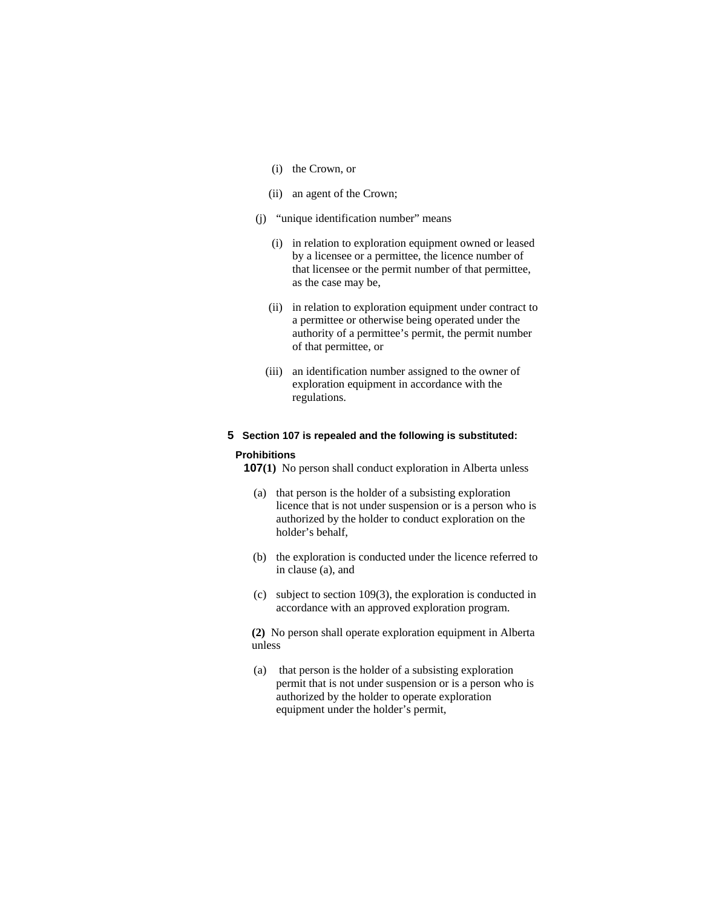- (i) the Crown, or
- (ii) an agent of the Crown;
- (j) "unique identification number" means
	- (i) in relation to exploration equipment owned or leased by a licensee or a permittee, the licence number of that licensee or the permit number of that permittee, as the case may be,
	- (ii) in relation to exploration equipment under contract to a permittee or otherwise being operated under the authority of a permittee's permit, the permit number of that permittee, or
	- (iii) an identification number assigned to the owner of exploration equipment in accordance with the regulations.

### **5 Section 107 is repealed and the following is substituted:**

#### **Prohibitions**

**107(1)** No person shall conduct exploration in Alberta unless

- (a) that person is the holder of a subsisting exploration licence that is not under suspension or is a person who is authorized by the holder to conduct exploration on the holder's behalf,
- (b) the exploration is conducted under the licence referred to in clause (a), and
- (c) subject to section 109(3), the exploration is conducted in accordance with an approved exploration program.

**(2)** No person shall operate exploration equipment in Alberta unless

 (a) that person is the holder of a subsisting exploration permit that is not under suspension or is a person who is authorized by the holder to operate exploration equipment under the holder's permit,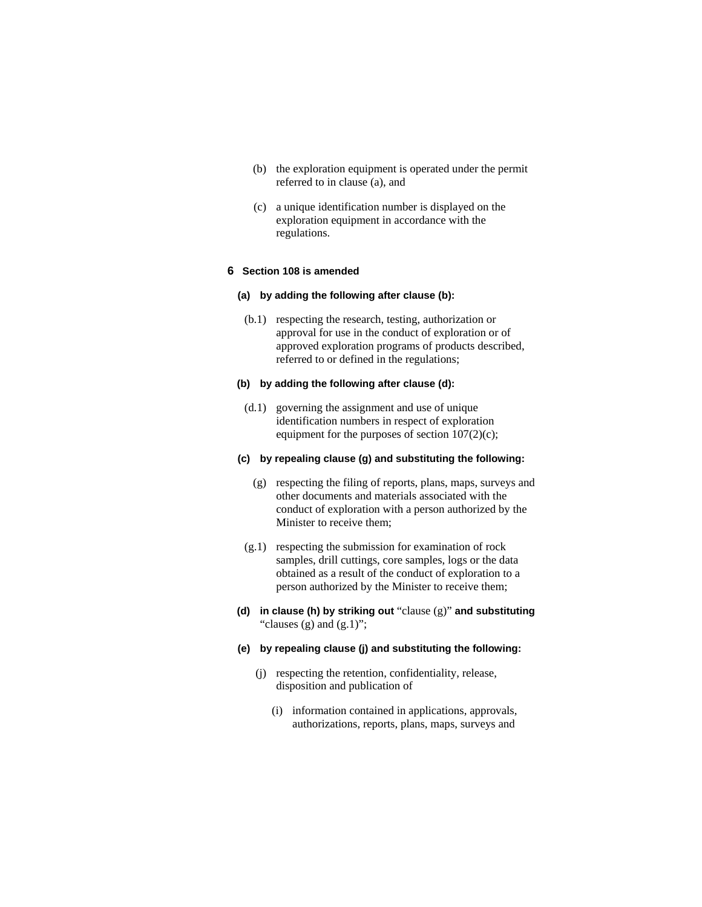- (b) the exploration equipment is operated under the permit referred to in clause (a), and
- (c) a unique identification number is displayed on the exploration equipment in accordance with the regulations.

# **6 Section 108 is amended**

### **(a) by adding the following after clause (b):**

 (b.1) respecting the research, testing, authorization or approval for use in the conduct of exploration or of approved exploration programs of products described, referred to or defined in the regulations;

# **(b) by adding the following after clause (d):**

 (d.1) governing the assignment and use of unique identification numbers in respect of exploration equipment for the purposes of section 107(2)(c);

### **(c) by repealing clause (g) and substituting the following:**

- (g) respecting the filing of reports, plans, maps, surveys and other documents and materials associated with the conduct of exploration with a person authorized by the Minister to receive them;
- (g.1) respecting the submission for examination of rock samples, drill cuttings, core samples, logs or the data obtained as a result of the conduct of exploration to a person authorized by the Minister to receive them;
- **(d) in clause (h) by striking out** "clause (g)" **and substituting**  "clauses  $(g)$  and  $(g.1)$ ";

## **(e) by repealing clause (j) and substituting the following:**

- (j) respecting the retention, confidentiality, release, disposition and publication of
	- (i) information contained in applications, approvals, authorizations, reports, plans, maps, surveys and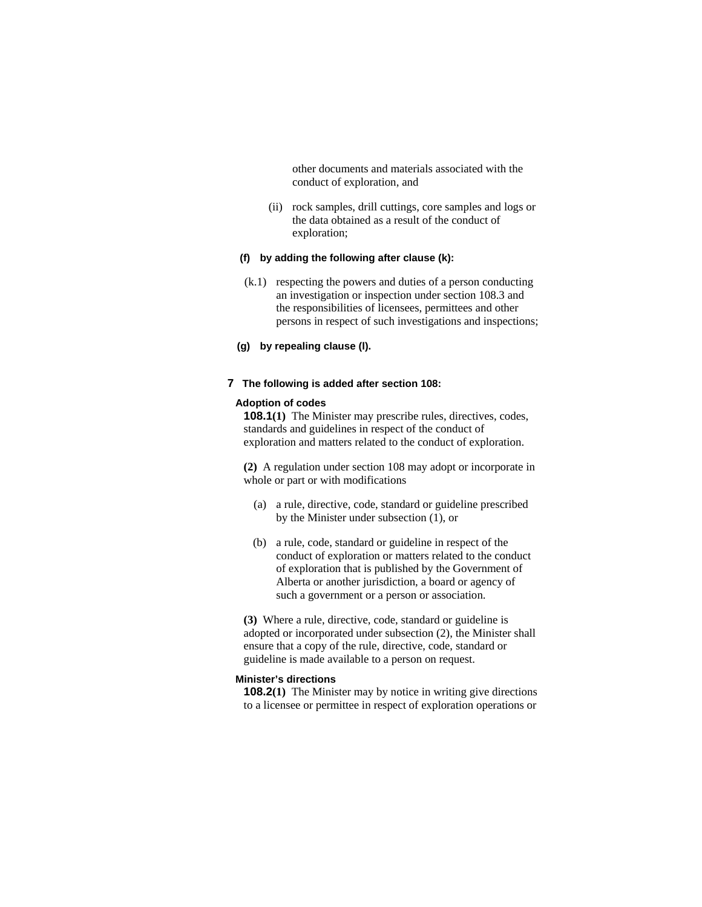other documents and materials associated with the conduct of exploration, and

 (ii) rock samples, drill cuttings, core samples and logs or the data obtained as a result of the conduct of exploration;

### **(f) by adding the following after clause (k):**

- (k.1) respecting the powers and duties of a person conducting an investigation or inspection under section 108.3 and the responsibilities of licensees, permittees and other persons in respect of such investigations and inspections;
- **(g) by repealing clause (l).**

### **7 The following is added after section 108:**

### **Adoption of codes**

**108.1(1)** The Minister may prescribe rules, directives, codes, standards and guidelines in respect of the conduct of exploration and matters related to the conduct of exploration.

**(2)** A regulation under section 108 may adopt or incorporate in whole or part or with modifications

- (a) a rule, directive, code, standard or guideline prescribed by the Minister under subsection (1), or
- (b) a rule, code, standard or guideline in respect of the conduct of exploration or matters related to the conduct of exploration that is published by the Government of Alberta or another jurisdiction, a board or agency of such a government or a person or association.

**(3)** Where a rule, directive, code, standard or guideline is adopted or incorporated under subsection (2), the Minister shall ensure that a copy of the rule, directive, code, standard or guideline is made available to a person on request.

#### **Minister's directions**

**108.2(1)** The Minister may by notice in writing give directions to a licensee or permittee in respect of exploration operations or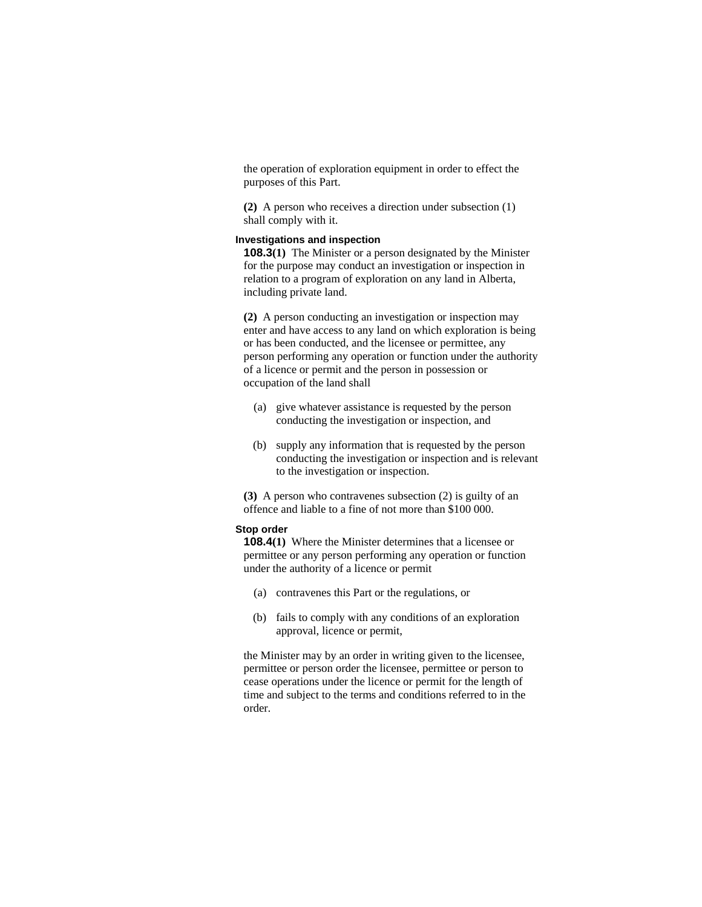the operation of exploration equipment in order to effect the purposes of this Part.

**(2)** A person who receives a direction under subsection (1) shall comply with it.

# **Investigations and inspection**

**108.3(1)** The Minister or a person designated by the Minister for the purpose may conduct an investigation or inspection in relation to a program of exploration on any land in Alberta, including private land.

**(2)** A person conducting an investigation or inspection may enter and have access to any land on which exploration is being or has been conducted, and the licensee or permittee, any person performing any operation or function under the authority of a licence or permit and the person in possession or occupation of the land shall

- (a) give whatever assistance is requested by the person conducting the investigation or inspection, and
- (b) supply any information that is requested by the person conducting the investigation or inspection and is relevant to the investigation or inspection.

**(3)** A person who contravenes subsection (2) is guilty of an offence and liable to a fine of not more than \$100 000.

# **Stop order**

**108.4(1)** Where the Minister determines that a licensee or permittee or any person performing any operation or function under the authority of a licence or permit

- (a) contravenes this Part or the regulations, or
- (b) fails to comply with any conditions of an exploration approval, licence or permit,

the Minister may by an order in writing given to the licensee, permittee or person order the licensee, permittee or person to cease operations under the licence or permit for the length of time and subject to the terms and conditions referred to in the order.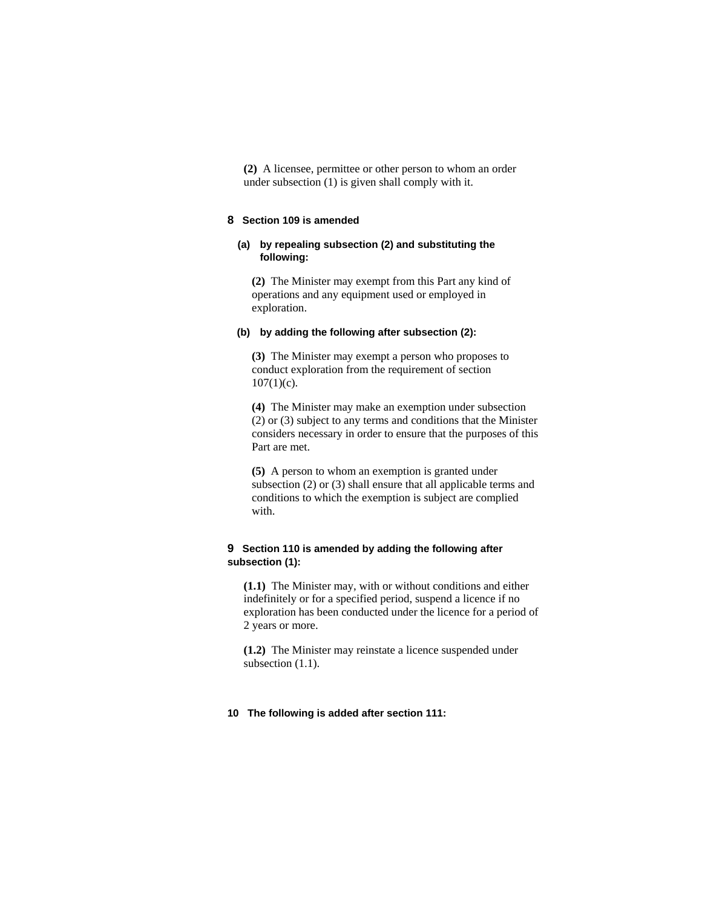**(2)** A licensee, permittee or other person to whom an order under subsection (1) is given shall comply with it.

## **8 Section 109 is amended**

# **(a) by repealing subsection (2) and substituting the following:**

**(2)** The Minister may exempt from this Part any kind of operations and any equipment used or employed in exploration.

#### **(b) by adding the following after subsection (2):**

**(3)** The Minister may exempt a person who proposes to conduct exploration from the requirement of section  $107(1)(c)$ .

**(4)** The Minister may make an exemption under subsection (2) or (3) subject to any terms and conditions that the Minister considers necessary in order to ensure that the purposes of this Part are met.

**(5)** A person to whom an exemption is granted under subsection (2) or (3) shall ensure that all applicable terms and conditions to which the exemption is subject are complied with.

# **9 Section 110 is amended by adding the following after subsection (1):**

**(1.1)** The Minister may, with or without conditions and either indefinitely or for a specified period, suspend a licence if no exploration has been conducted under the licence for a period of 2 years or more.

**(1.2)** The Minister may reinstate a licence suspended under subsection  $(1.1)$ .

#### **10 The following is added after section 111:**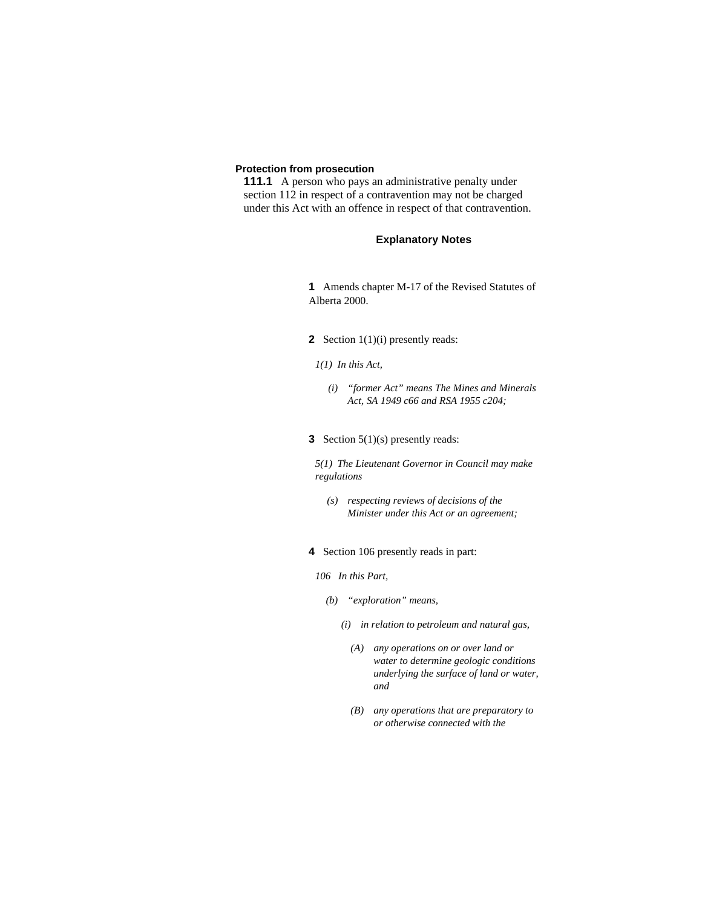# **Protection from prosecution**

**111.1** A person who pays an administrative penalty under section 112 in respect of a contravention may not be charged under this Act with an offence in respect of that contravention.

# **Explanatory Notes**

**1** Amends chapter M-17 of the Revised Statutes of Alberta 2000.

- **2** Section 1(1)(i) presently reads:
- *1(1) In this Act,* 
	- *(i) "former Act" means The Mines and Minerals Act, SA 1949 c66 and RSA 1955 c204;*
- **3** Section 5(1)(s) presently reads:

*5(1) The Lieutenant Governor in Council may make regulations* 

- *(s) respecting reviews of decisions of the Minister under this Act or an agreement;*
- **4** Section 106 presently reads in part:
- *106 In this Part,* 
	- *(b) "exploration" means,* 
		- *(i) in relation to petroleum and natural gas,* 
			- *(A) any operations on or over land or water to determine geologic conditions underlying the surface of land or water, and*
			- *(B) any operations that are preparatory to or otherwise connected with the*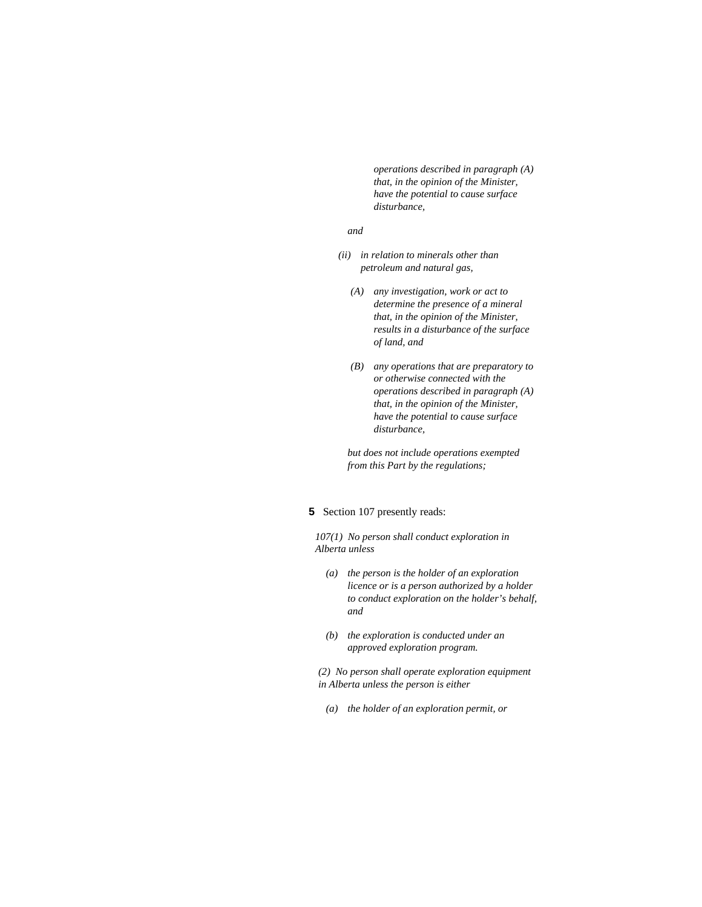*operations described in paragraph (A) that, in the opinion of the Minister, have the potential to cause surface disturbance,* 

#### *and*

- *(ii) in relation to minerals other than petroleum and natural gas,* 
	- *(A) any investigation, work or act to determine the presence of a mineral that, in the opinion of the Minister, results in a disturbance of the surface of land, and*
	- *(B) any operations that are preparatory to or otherwise connected with the operations described in paragraph (A) that, in the opinion of the Minister, have the potential to cause surface disturbance,*

 *but does not include operations exempted from this Part by the regulations;* 

# **5** Section 107 presently reads:

*107(1) No person shall conduct exploration in Alberta unless* 

- *(a) the person is the holder of an exploration licence or is a person authorized by a holder to conduct exploration on the holder's behalf, and*
- *(b) the exploration is conducted under an approved exploration program.*

*(2) No person shall operate exploration equipment in Alberta unless the person is either* 

 *(a) the holder of an exploration permit, or*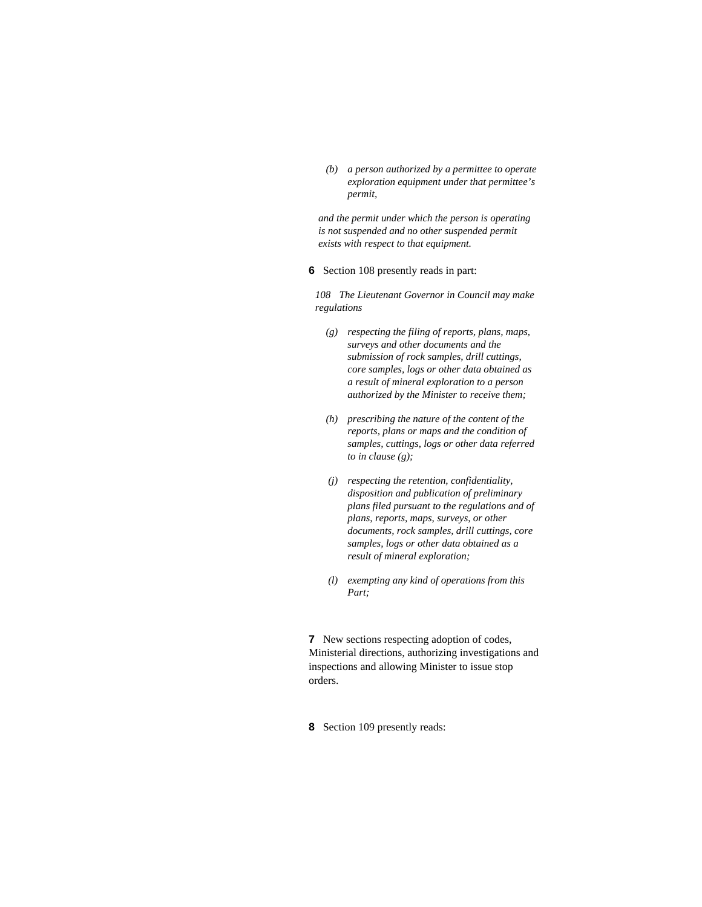*(b) a person authorized by a permittee to operate exploration equipment under that permittee's permit,* 

*and the permit under which the person is operating is not suspended and no other suspended permit exists with respect to that equipment.* 

**6** Section 108 presently reads in part:

*108 The Lieutenant Governor in Council may make regulations* 

- *(g) respecting the filing of reports, plans, maps, surveys and other documents and the submission of rock samples, drill cuttings, core samples, logs or other data obtained as a result of mineral exploration to a person authorized by the Minister to receive them;*
- *(h) prescribing the nature of the content of the reports, plans or maps and the condition of samples, cuttings, logs or other data referred to in clause (g);*
- *(j) respecting the retention, confidentiality, disposition and publication of preliminary plans filed pursuant to the regulations and of plans, reports, maps, surveys, or other documents, rock samples, drill cuttings, core samples, logs or other data obtained as a result of mineral exploration;*
- *(l) exempting any kind of operations from this Part;*

**7** New sections respecting adoption of codes, Ministerial directions, authorizing investigations and inspections and allowing Minister to issue stop orders.

**8** Section 109 presently reads: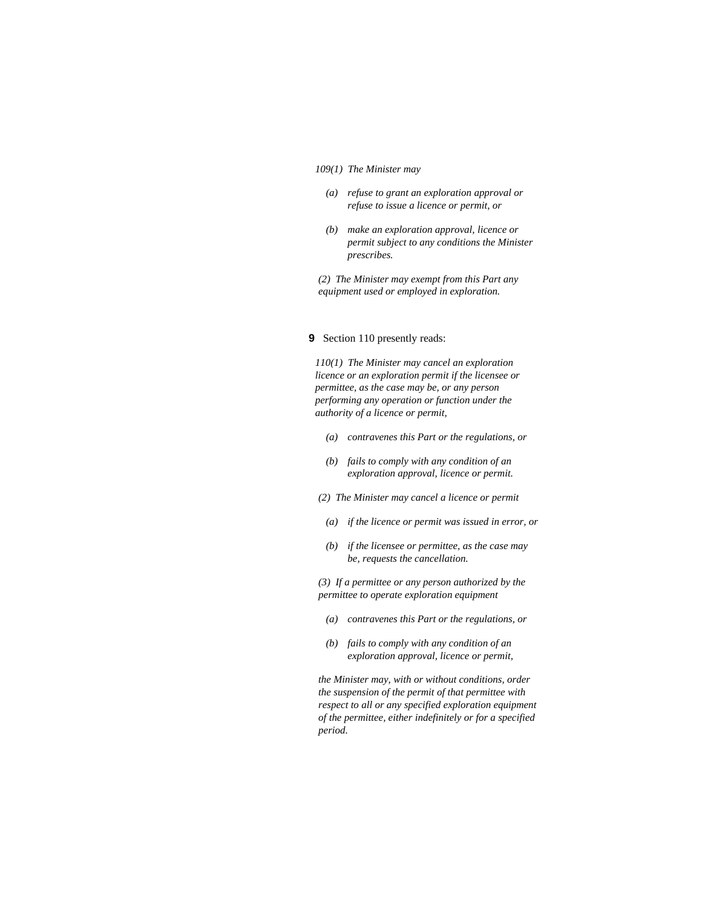#### *109(1) The Minister may*

- *(a) refuse to grant an exploration approval or refuse to issue a licence or permit, or*
- *(b) make an exploration approval, licence or permit subject to any conditions the Minister prescribes.*

*(2) The Minister may exempt from this Part any equipment used or employed in exploration.* 

#### **9** Section 110 presently reads:

*110(1) The Minister may cancel an exploration licence or an exploration permit if the licensee or permittee, as the case may be, or any person performing any operation or function under the authority of a licence or permit,* 

- *(a) contravenes this Part or the regulations, or*
- *(b) fails to comply with any condition of an exploration approval, licence or permit.*
- *(2) The Minister may cancel a licence or permit* 
	- *(a) if the licence or permit was issued in error, or*
	- *(b) if the licensee or permittee, as the case may be, requests the cancellation.*

*(3) If a permittee or any person authorized by the permittee to operate exploration equipment* 

- *(a) contravenes this Part or the regulations, or*
- *(b) fails to comply with any condition of an exploration approval, licence or permit,*

*the Minister may, with or without conditions, order the suspension of the permit of that permittee with respect to all or any specified exploration equipment of the permittee, either indefinitely or for a specified period.*